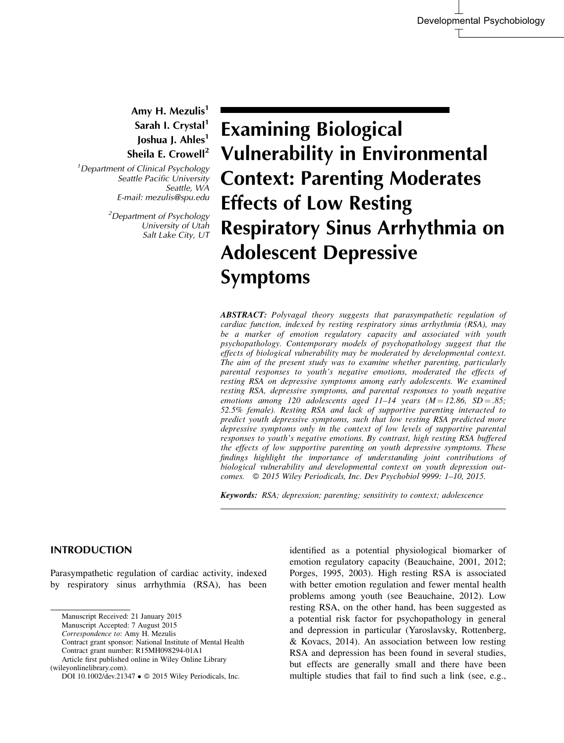Amy H. Mezulis<sup>1</sup> Sarah I. Crystal<sup>1</sup> Joshua J. Ahles<sup>1</sup> Sheila E. Crowell<sup>2</sup>

<sup>1</sup> Department of Clinical Psychology Seattle Pacific University Seattle, WA E-mail: mezulis@spu.edu

> <sup>2</sup>Department of Psychology University of Utah Salt Lake City, UT

Examining Biological Vulnerability in Environmental Context: Parenting Moderates Effects of Low Resting Respiratory Sinus Arrhythmia on Adolescent Depressive Symptoms

ABSTRACT: Polyvagal theory suggests that parasympathetic regulation of cardiac function, indexed by resting respiratory sinus arrhythmia (RSA), may be a marker of emotion regulatory capacity and associated with youth psychopathology. Contemporary models of psychopathology suggest that the effects of biological vulnerability may be moderated by developmental context. The aim of the present study was to examine whether parenting, particularly parental responses to youth's negative emotions, moderated the effects of resting RSA on depressive symptoms among early adolescents. We examined resting RSA, depressive symptoms, and parental responses to youth negative emotions among 120 adolescents aged  $11-14$  years  $(M = 12.86, SD = .85;$ 52.5% female). Resting RSA and lack of supportive parenting interacted to predict youth depressive symptoms, such that low resting RSA predicted more depressive symptoms only in the context of low levels of supportive parental responses to youth's negative emotions. By contrast, high resting RSA buffered the effects of low supportive parenting on youth depressive symptoms. These findings highlight the importance of understanding joint contributions of biological vulnerability and developmental context on youth depression outcomes.  $\oslash$  2015 Wiley Periodicals, Inc. Dev Psychobiol 9999: 1-10, 2015.

Keywords: RSA; depression; parenting; sensitivity to context; adolescence

# INTRODUCTION

Parasympathetic regulation of cardiac activity, indexed by respiratory sinus arrhythmia (RSA), has been

Correspondence to: Amy H. Mezulis

identified as a potential physiological biomarker of emotion regulatory capacity (Beauchaine, 2001, 2012; Porges, 1995, 2003). High resting RSA is associated with better emotion regulation and fewer mental health problems among youth (see Beauchaine, 2012). Low resting RSA, on the other hand, has been suggested as a potential risk factor for psychopathology in general and depression in particular (Yaroslavsky, Rottenberg, & Kovacs, 2014). An association between low resting RSA and depression has been found in several studies, but effects are generally small and there have been multiple studies that fail to find such a link (see, e.g.,

Manuscript Received: 21 January 2015

Manuscript Accepted: 7 August 2015

Contract grant sponsor: National Institute of Mental Health Contract grant number: R15MH098294-01A1

Article first published online in Wiley Online Library

<sup>(</sup>wileyonlinelibrary.com).

DOI 10.1002/dev.21347 • © 2015 Wiley Periodicals, Inc.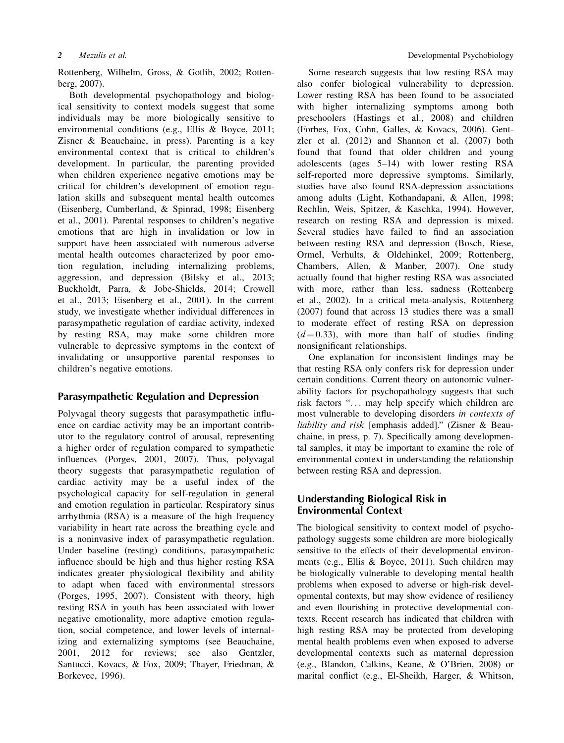Rottenberg, Wilhelm, Gross, & Gotlib, 2002; Rottenberg, 2007).

Both developmental psychopathology and biological sensitivity to context models suggest that some individuals may be more biologically sensitive to environmental conditions (e.g., Ellis & Boyce, 2011; Zisner & Beauchaine, in press). Parenting is a key environmental context that is critical to children's development. In particular, the parenting provided when children experience negative emotions may be critical for children's development of emotion regulation skills and subsequent mental health outcomes (Eisenberg, Cumberland, & Spinrad, 1998; Eisenberg et al., 2001). Parental responses to children's negative emotions that are high in invalidation or low in support have been associated with numerous adverse mental health outcomes characterized by poor emotion regulation, including internalizing problems, aggression, and depression (Bilsky et al., 2013; Buckholdt, Parra, & Jobe-Shields, 2014; Crowell et al., 2013; Eisenberg et al., 2001). In the current study, we investigate whether individual differences in parasympathetic regulation of cardiac activity, indexed by resting RSA, may make some children more vulnerable to depressive symptoms in the context of invalidating or unsupportive parental responses to children's negative emotions.

# Parasympathetic Regulation and Depression

Polyvagal theory suggests that parasympathetic influence on cardiac activity may be an important contributor to the regulatory control of arousal, representing a higher order of regulation compared to sympathetic influences (Porges, 2001, 2007). Thus, polyvagal theory suggests that parasympathetic regulation of cardiac activity may be a useful index of the psychological capacity for self-regulation in general and emotion regulation in particular. Respiratory sinus arrhythmia (RSA) is a measure of the high frequency variability in heart rate across the breathing cycle and is a noninvasive index of parasympathetic regulation. Under baseline (resting) conditions, parasympathetic influence should be high and thus higher resting RSA indicates greater physiological flexibility and ability to adapt when faced with environmental stressors (Porges, 1995, 2007). Consistent with theory, high resting RSA in youth has been associated with lower negative emotionality, more adaptive emotion regulation, social competence, and lower levels of internalizing and externalizing symptoms (see Beauchaine, 2001, 2012 for reviews; see also Gentzler, Santucci, Kovacs, & Fox, 2009; Thayer, Friedman, & Borkevec, 1996).

Some research suggests that low resting RSA may also confer biological vulnerability to depression. Lower resting RSA has been found to be associated with higher internalizing symptoms among both preschoolers (Hastings et al., 2008) and children (Forbes, Fox, Cohn, Galles, & Kovacs, 2006). Gentzler et al. (2012) and Shannon et al. (2007) both found that found that older children and young adolescents (ages 5–14) with lower resting RSA self-reported more depressive symptoms. Similarly, studies have also found RSA-depression associations among adults (Light, Kothandapani, & Allen, 1998; Rechlin, Weis, Spitzer, & Kaschka, 1994). However, research on resting RSA and depression is mixed. Several studies have failed to find an association between resting RSA and depression (Bosch, Riese, Ormel, Verhults, & Oldehinkel, 2009; Rottenberg, Chambers, Allen, & Manber, 2007). One study actually found that higher resting RSA was associated with more, rather than less, sadness (Rottenberg et al., 2002). In a critical meta-analysis, Rottenberg (2007) found that across 13 studies there was a small to moderate effect of resting RSA on depression  $(d=0.33)$ , with more than half of studies finding nonsignificant relationships.

One explanation for inconsistent findings may be that resting RSA only confers risk for depression under certain conditions. Current theory on autonomic vulnerability factors for psychopathology suggests that such risk factors "... may help specify which children are most vulnerable to developing disorders in contexts of liability and risk [emphasis added]." (Zisner & Beauchaine, in press, p. 7). Specifically among developmental samples, it may be important to examine the role of environmental context in understanding the relationship between resting RSA and depression.

# Understanding Biological Risk in Environmental Context

The biological sensitivity to context model of psychopathology suggests some children are more biologically sensitive to the effects of their developmental environments (e.g., Ellis & Boyce, 2011). Such children may be biologically vulnerable to developing mental health problems when exposed to adverse or high-risk developmental contexts, but may show evidence of resiliency and even flourishing in protective developmental contexts. Recent research has indicated that children with high resting RSA may be protected from developing mental health problems even when exposed to adverse developmental contexts such as maternal depression (e.g., Blandon, Calkins, Keane, & O'Brien, 2008) or marital conflict (e.g., El-Sheikh, Harger, & Whitson,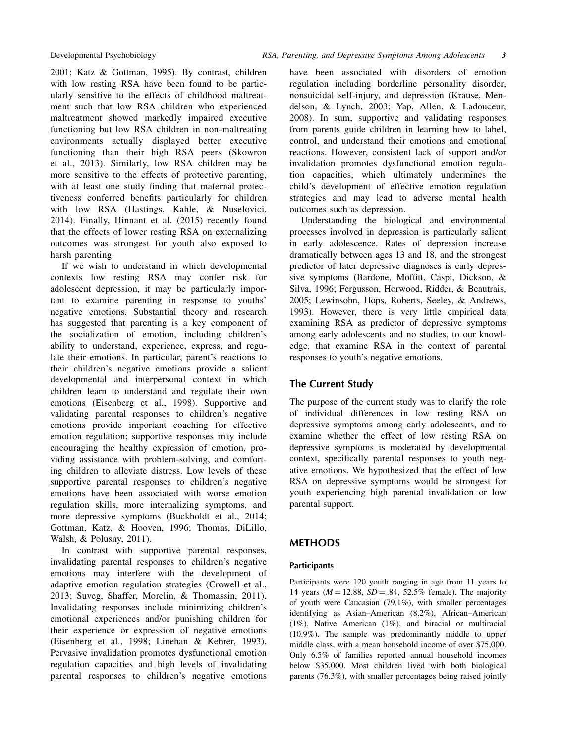2001; Katz & Gottman, 1995). By contrast, children with low resting RSA have been found to be particularly sensitive to the effects of childhood maltreatment such that low RSA children who experienced maltreatment showed markedly impaired executive functioning but low RSA children in non-maltreating environments actually displayed better executive functioning than their high RSA peers (Skowron et al., 2013). Similarly, low RSA children may be more sensitive to the effects of protective parenting, with at least one study finding that maternal protectiveness conferred benefits particularly for children with low RSA (Hastings, Kahle, & Nuselovici, 2014). Finally, Hinnant et al. (2015) recently found that the effects of lower resting RSA on externalizing outcomes was strongest for youth also exposed to harsh parenting.

If we wish to understand in which developmental contexts low resting RSA may confer risk for adolescent depression, it may be particularly important to examine parenting in response to youths' negative emotions. Substantial theory and research has suggested that parenting is a key component of the socialization of emotion, including children's ability to understand, experience, express, and regulate their emotions. In particular, parent's reactions to their children's negative emotions provide a salient developmental and interpersonal context in which children learn to understand and regulate their own emotions (Eisenberg et al., 1998). Supportive and validating parental responses to children's negative emotions provide important coaching for effective emotion regulation; supportive responses may include encouraging the healthy expression of emotion, providing assistance with problem-solving, and comforting children to alleviate distress. Low levels of these supportive parental responses to children's negative emotions have been associated with worse emotion regulation skills, more internalizing symptoms, and more depressive symptoms (Buckholdt et al., 2014; Gottman, Katz, & Hooven, 1996; Thomas, DiLillo, Walsh, & Polusny, 2011).

In contrast with supportive parental responses, invalidating parental responses to children's negative emotions may interfere with the development of adaptive emotion regulation strategies (Crowell et al., 2013; Suveg, Shaffer, Morelin, & Thomassin, 2011). Invalidating responses include minimizing children's emotional experiences and/or punishing children for their experience or expression of negative emotions (Eisenberg et al., 1998; Linehan & Kehrer, 1993). Pervasive invalidation promotes dysfunctional emotion regulation capacities and high levels of invalidating parental responses to children's negative emotions have been associated with disorders of emotion regulation including borderline personality disorder, nonsuicidal self-injury, and depression (Krause, Mendelson, & Lynch, 2003; Yap, Allen, & Ladouceur, 2008). In sum, supportive and validating responses from parents guide children in learning how to label, control, and understand their emotions and emotional reactions. However, consistent lack of support and/or invalidation promotes dysfunctional emotion regulation capacities, which ultimately undermines the child's development of effective emotion regulation strategies and may lead to adverse mental health outcomes such as depression.

Understanding the biological and environmental processes involved in depression is particularly salient in early adolescence. Rates of depression increase dramatically between ages 13 and 18, and the strongest predictor of later depressive diagnoses is early depressive symptoms (Bardone, Moffitt, Caspi, Dickson, & Silva, 1996; Fergusson, Horwood, Ridder, & Beautrais, 2005; Lewinsohn, Hops, Roberts, Seeley, & Andrews, 1993). However, there is very little empirical data examining RSA as predictor of depressive symptoms among early adolescents and no studies, to our knowledge, that examine RSA in the context of parental responses to youth's negative emotions.

# The Current Study

The purpose of the current study was to clarify the role of individual differences in low resting RSA on depressive symptoms among early adolescents, and to examine whether the effect of low resting RSA on depressive symptoms is moderated by developmental context, specifically parental responses to youth negative emotions. We hypothesized that the effect of low RSA on depressive symptoms would be strongest for youth experiencing high parental invalidation or low parental support.

# METHODS

# **Participants**

Participants were 120 youth ranging in age from 11 years to 14 years ( $M = 12.88$ ,  $SD = .84$ , 52.5% female). The majority of youth were Caucasian (79.1%), with smaller percentages identifying as Asian–American (8.2%), African–American (1%), Native American (1%), and biracial or multiracial (10.9%). The sample was predominantly middle to upper middle class, with a mean household income of over \$75,000. Only 6.5% of families reported annual household incomes below \$35,000. Most children lived with both biological parents (76.3%), with smaller percentages being raised jointly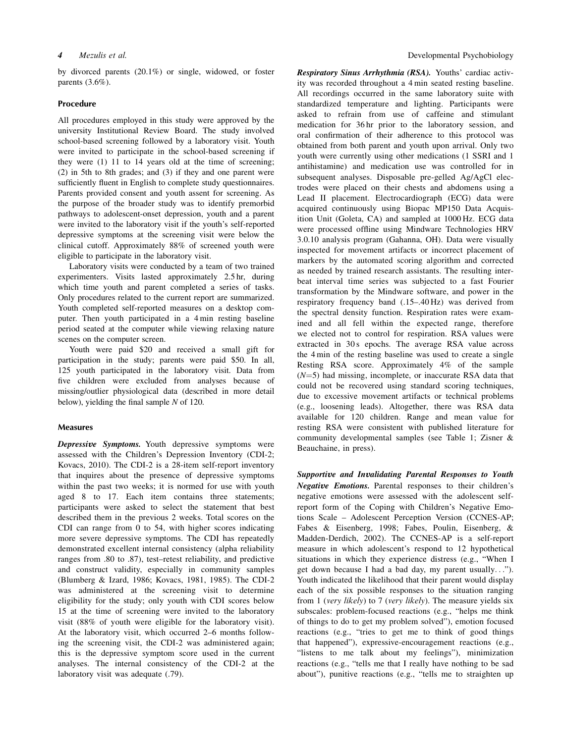by divorced parents (20.1%) or single, widowed, or foster parents (3.6%).

#### Procedure

All procedures employed in this study were approved by the university Institutional Review Board. The study involved school-based screening followed by a laboratory visit. Youth were invited to participate in the school-based screening if they were (1) 11 to 14 years old at the time of screening; (2) in 5th to 8th grades; and (3) if they and one parent were sufficiently fluent in English to complete study questionnaires. Parents provided consent and youth assent for screening. As the purpose of the broader study was to identify premorbid pathways to adolescent-onset depression, youth and a parent were invited to the laboratory visit if the youth's self-reported depressive symptoms at the screening visit were below the clinical cutoff. Approximately 88% of screened youth were eligible to participate in the laboratory visit.

Laboratory visits were conducted by a team of two trained experimenters. Visits lasted approximately 2.5 hr, during which time youth and parent completed a series of tasks. Only procedures related to the current report are summarized. Youth completed self-reported measures on a desktop computer. Then youth participated in a 4 min resting baseline period seated at the computer while viewing relaxing nature scenes on the computer screen.

Youth were paid \$20 and received a small gift for participation in the study; parents were paid \$50. In all, 125 youth participated in the laboratory visit. Data from five children were excluded from analyses because of missing/outlier physiological data (described in more detail below), yielding the final sample  $N$  of 120.

#### Measures

Depressive Symptoms. Youth depressive symptoms were assessed with the Children's Depression Inventory (CDI-2; Kovacs, 2010). The CDI-2 is a 28-item self-report inventory that inquires about the presence of depressive symptoms within the past two weeks; it is normed for use with youth aged 8 to 17. Each item contains three statements; participants were asked to select the statement that best described them in the previous 2 weeks. Total scores on the CDI can range from 0 to 54, with higher scores indicating more severe depressive symptoms. The CDI has repeatedly demonstrated excellent internal consistency (alpha reliability ranges from .80 to .87), test–retest reliability, and predictive and construct validity, especially in community samples (Blumberg & Izard, 1986; Kovacs, 1981, 1985). The CDI-2 was administered at the screening visit to determine eligibility for the study; only youth with CDI scores below 15 at the time of screening were invited to the laboratory visit (88% of youth were eligible for the laboratory visit). At the laboratory visit, which occurred 2–6 months following the screening visit, the CDI-2 was administered again; this is the depressive symptom score used in the current analyses. The internal consistency of the CDI-2 at the laboratory visit was adequate (.79).

Respiratory Sinus Arrhythmia (RSA). Youths' cardiac activity was recorded throughout a 4 min seated resting baseline. All recordings occurred in the same laboratory suite with standardized temperature and lighting. Participants were asked to refrain from use of caffeine and stimulant medication for 36 hr prior to the laboratory session, and oral confirmation of their adherence to this protocol was obtained from both parent and youth upon arrival. Only two youth were currently using other medications (1 SSRI and 1 antihistamine) and medication use was controlled for in subsequent analyses. Disposable pre-gelled Ag/AgCl electrodes were placed on their chests and abdomens using a Lead II placement. Electrocardiograph (ECG) data were acquired continuously using Biopac MP150 Data Acquisition Unit (Goleta, CA) and sampled at 1000 Hz. ECG data were processed offline using Mindware Technologies HRV 3.0.10 analysis program (Gahanna, OH). Data were visually inspected for movement artifacts or incorrect placement of markers by the automated scoring algorithm and corrected as needed by trained research assistants. The resulting interbeat interval time series was subjected to a fast Fourier transformation by the Mindware software, and power in the respiratory frequency band (.15–.40 Hz) was derived from the spectral density function. Respiration rates were examined and all fell within the expected range, therefore we elected not to control for respiration. RSA values were extracted in 30s epochs. The average RSA value across the 4 min of the resting baseline was used to create a single Resting RSA score. Approximately 4% of the sample  $(N=5)$  had missing, incomplete, or inaccurate RSA data that could not be recovered using standard scoring techniques, due to excessive movement artifacts or technical problems (e.g., loosening leads). Altogether, there was RSA data available for 120 children. Range and mean value for resting RSA were consistent with published literature for community developmental samples (see Table 1; Zisner & Beauchaine, in press).

Supportive and Invalidating Parental Responses to Youth Negative Emotions. Parental responses to their children's negative emotions were assessed with the adolescent selfreport form of the Coping with Children's Negative Emotions Scale – Adolescent Perception Version (CCNES-AP; Fabes & Eisenberg, 1998; Fabes, Poulin, Eisenberg, & Madden-Derdich, 2002). The CCNES-AP is a self-report measure in which adolescent's respond to 12 hypothetical situations in which they experience distress (e.g., "When I get down because I had a bad day, my parent usually..."). Youth indicated the likelihood that their parent would display each of the six possible responses to the situation ranging from 1 (very likely) to 7 (very likely). The measure yields six subscales: problem-focused reactions (e.g., "helps me think of things to do to get my problem solved"), emotion focused reactions (e.g., "tries to get me to think of good things that happened"), expressive-encouragement reactions (e.g., "listens to me talk about my feelings"), minimization reactions (e.g., "tells me that I really have nothing to be sad about"), punitive reactions (e.g., "tells me to straighten up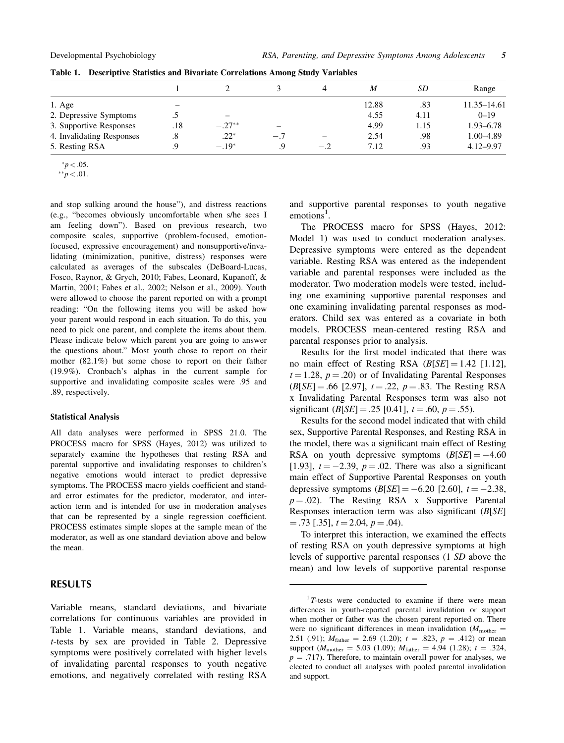|                           |                          |                          |                          |       | M     | SD   | Range         |
|---------------------------|--------------------------|--------------------------|--------------------------|-------|-------|------|---------------|
| $1. \text{Age}$           | $\overline{\phantom{m}}$ |                          |                          |       | 12.88 | .83  | 11.35–14.61   |
| 2. Depressive Symptoms    | ↖<br>س                   | $\overline{\phantom{0}}$ |                          |       | 4.55  | 4.11 | $0 - 19$      |
| 3. Supportive Responses   | .18                      | $-.27**$                 | $\overline{\phantom{0}}$ |       | 4.99  | 1.15 | $1.93 - 6.78$ |
| 4. Invalidating Responses | .8                       | $.22*$                   | $-.7$                    |       | 2.54  | .98  | $1.00 - 4.89$ |
| 5. Resting RSA            | 9.                       | $-.19*$                  | .9                       | $-.2$ | 7.12  | .93  | $4.12 - 9.97$ |

Table 1. Descriptive Statistics and Bivariate Correlations Among Study Variables

and stop sulking around the house"), and distress reactions (e.g., "becomes obviously uncomfortable when s/he sees I am feeling down"). Based on previous research, two composite scales, supportive (problem-focused, emotionfocused, expressive encouragement) and nonsupportive/invalidating (minimization, punitive, distress) responses were calculated as averages of the subscales (DeBoard-Lucas, Fosco, Raynor, & Grych, 2010; Fabes, Leonard, Kupanoff, & Martin, 2001; Fabes et al., 2002; Nelson et al., 2009). Youth were allowed to choose the parent reported on with a prompt reading: "On the following items you will be asked how your parent would respond in each situation. To do this, you need to pick one parent, and complete the items about them. Please indicate below which parent you are going to answer the questions about." Most youth chose to report on their mother (82.1%) but some chose to report on their father (19.9%). Cronbach's alphas in the current sample for supportive and invalidating composite scales were .95 and .89, respectively.

#### Statistical Analysis

All data analyses were performed in SPSS 21.0. The PROCESS macro for SPSS (Hayes, 2012) was utilized to separately examine the hypotheses that resting RSA and parental supportive and invalidating responses to children's negative emotions would interact to predict depressive symptoms. The PROCESS macro yields coefficient and standard error estimates for the predictor, moderator, and interaction term and is intended for use in moderation analyses that can be represented by a single regression coefficient. PROCESS estimates simple slopes at the sample mean of the moderator, as well as one standard deviation above and below the mean.

# RESULTS

Variable means, standard deviations, and bivariate correlations for continuous variables are provided in Table 1. Variable means, standard deviations, and t-tests by sex are provided in Table 2. Depressive symptoms were positively correlated with higher levels of invalidating parental responses to youth negative emotions, and negatively correlated with resting RSA

and supportive parental responses to youth negative  $emotions<sup>1</sup>$ .

The PROCESS macro for SPSS (Hayes, 2012: Model 1) was used to conduct moderation analyses. Depressive symptoms were entered as the dependent variable. Resting RSA was entered as the independent variable and parental responses were included as the moderator. Two moderation models were tested, including one examining supportive parental responses and one examining invalidating parental responses as moderators. Child sex was entered as a covariate in both models. PROCESS mean-centered resting RSA and parental responses prior to analysis.

Results for the first model indicated that there was no main effect of Resting RSA  $(B[SE] = 1.42$  [1.12],  $t = 1.28$ ,  $p = .20$ ) or of Invalidating Parental Responses  $(B[SE] = .66$  [2.97],  $t = .22$ ,  $p = .83$ . The Resting RSA x Invalidating Parental Responses term was also not significant  $(B[SE] = .25 [0.41], t = .60, p = .55)$ .

Results for the second model indicated that with child sex, Supportive Parental Responses, and Resting RSA in the model, there was a significant main effect of Resting RSA on youth depressive symptoms  $(B[SE] = -4.60$ [1.93],  $t = -2.39$ ,  $p = .02$ . There was also a significant main effect of Supportive Parental Responses on youth depressive symptoms  $(B[SE] = -6.20 [2.60], t = -2.38,$  $p = .02$ ). The Resting RSA x Supportive Parental Responses interaction term was also significant (B[SE]  $=$  .73 [.35],  $t = 2.04$ ,  $p = .04$ ).

To interpret this interaction, we examined the effects of resting RSA on youth depressive symptoms at high levels of supportive parental responses (1 SD above the mean) and low levels of supportive parental response

 $*p < .05$ .

 $*^{*}p < .01$ .

 $1T$ -tests were conducted to examine if there were mean differences in youth-reported parental invalidation or support when mother or father was the chosen parent reported on. There were no significant differences in mean invalidation ( $M_{\text{mother}} =$ 2.51 (.91);  $M_{\text{father}} = 2.69$  (1.20);  $t = .823$ ,  $p = .412$ ) or mean support ( $M_{\text{mother}} = 5.03$  (1.09);  $M_{\text{father}} = 4.94$  (1.28);  $t = .324$ ,  $p = .717$ ). Therefore, to maintain overall power for analyses, we elected to conduct all analyses with pooled parental invalidation and support.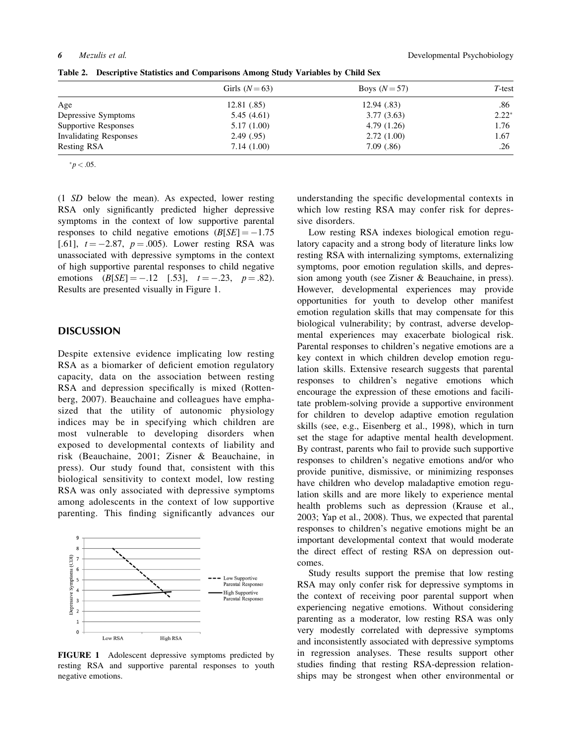|                               | Girls $(N=63)$ | Boys $(N=57)$ | $T$ -test |
|-------------------------------|----------------|---------------|-----------|
| Age                           | 12.81 (.85)    | 12.94(.83)    | .86       |
| Depressive Symptoms           | 5.45(4.61)     | 3.77(3.63)    | $2.22*$   |
| Supportive Responses          | 5.17(1.00)     | 4.79(1.26)    | 1.76      |
| <b>Invalidating Responses</b> | 2.49(0.95)     | 2.72(1.00)    | 1.67      |
| Resting RSA                   | 7.14(1.00)     | 7.09(0.86)    | .26       |

Table 2. Descriptive Statistics and Comparisons Among Study Variables by Child Sex

 $*p < .05$ .

(1 SD below the mean). As expected, lower resting RSA only significantly predicted higher depressive symptoms in the context of low supportive parental responses to child negative emotions  $(B[SE] = -1.75$ [.61],  $t = -2.87$ ,  $p = .005$ ). Lower resting RSA was unassociated with depressive symptoms in the context of high supportive parental responses to child negative emotions  $(B[SE] = -.12 \quad [.53], \quad t = -.23, \quad p = .82).$ Results are presented visually in Figure 1.

### DISCUSSION

Despite extensive evidence implicating low resting RSA as a biomarker of deficient emotion regulatory capacity, data on the association between resting RSA and depression specifically is mixed (Rottenberg, 2007). Beauchaine and colleagues have emphasized that the utility of autonomic physiology indices may be in specifying which children are most vulnerable to developing disorders when exposed to developmental contexts of liability and risk (Beauchaine, 2001; Zisner & Beauchaine, in press). Our study found that, consistent with this biological sensitivity to context model, low resting RSA was only associated with depressive symptoms among adolescents in the context of low supportive parenting. This finding significantly advances our



FIGURE 1 Adolescent depressive symptoms predicted by resting RSA and supportive parental responses to youth negative emotions.

understanding the specific developmental contexts in which low resting RSA may confer risk for depressive disorders.

Low resting RSA indexes biological emotion regulatory capacity and a strong body of literature links low resting RSA with internalizing symptoms, externalizing symptoms, poor emotion regulation skills, and depression among youth (see Zisner & Beauchaine, in press). However, developmental experiences may provide opportunities for youth to develop other manifest emotion regulation skills that may compensate for this biological vulnerability; by contrast, adverse developmental experiences may exacerbate biological risk. Parental responses to children's negative emotions are a key context in which children develop emotion regulation skills. Extensive research suggests that parental responses to children's negative emotions which encourage the expression of these emotions and facilitate problem-solving provide a supportive environment for children to develop adaptive emotion regulation skills (see, e.g., Eisenberg et al., 1998), which in turn set the stage for adaptive mental health development. By contrast, parents who fail to provide such supportive responses to children's negative emotions and/or who provide punitive, dismissive, or minimizing responses have children who develop maladaptive emotion regulation skills and are more likely to experience mental health problems such as depression (Krause et al., 2003; Yap et al., 2008). Thus, we expected that parental responses to children's negative emotions might be an important developmental context that would moderate the direct effect of resting RSA on depression outcomes.

Study results support the premise that low resting RSA may only confer risk for depressive symptoms in the context of receiving poor parental support when experiencing negative emotions. Without considering parenting as a moderator, low resting RSA was only very modestly correlated with depressive symptoms and inconsistently associated with depressive symptoms in regression analyses. These results support other studies finding that resting RSA-depression relationships may be strongest when other environmental or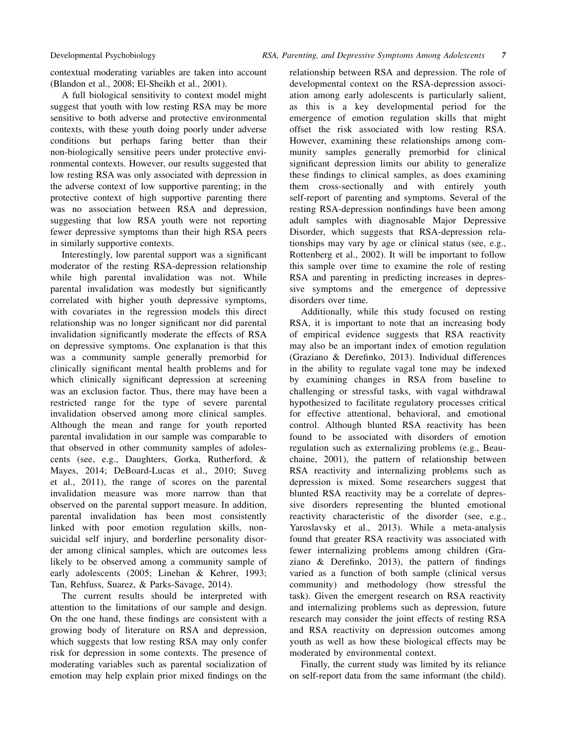contextual moderating variables are taken into account (Blandon et al., 2008; El-Sheikh et al., 2001).

A full biological sensitivity to context model might suggest that youth with low resting RSA may be more sensitive to both adverse and protective environmental contexts, with these youth doing poorly under adverse conditions but perhaps faring better than their non-biologically sensitive peers under protective environmental contexts. However, our results suggested that low resting RSA was only associated with depression in the adverse context of low supportive parenting; in the protective context of high supportive parenting there was no association between RSA and depression, suggesting that low RSA youth were not reporting fewer depressive symptoms than their high RSA peers in similarly supportive contexts.

Interestingly, low parental support was a significant moderator of the resting RSA-depression relationship while high parental invalidation was not. While parental invalidation was modestly but significantly correlated with higher youth depressive symptoms, with covariates in the regression models this direct relationship was no longer significant nor did parental invalidation significantly moderate the effects of RSA on depressive symptoms. One explanation is that this was a community sample generally premorbid for clinically significant mental health problems and for which clinically significant depression at screening was an exclusion factor. Thus, there may have been a restricted range for the type of severe parental invalidation observed among more clinical samples. Although the mean and range for youth reported parental invalidation in our sample was comparable to that observed in other community samples of adolescents (see, e.g., Daughters, Gorka, Rutherford, & Mayes, 2014; DeBoard-Lucas et al., 2010; Suveg et al., 2011), the range of scores on the parental invalidation measure was more narrow than that observed on the parental support measure. In addition, parental invalidation has been most consistently linked with poor emotion regulation skills, nonsuicidal self injury, and borderline personality disorder among clinical samples, which are outcomes less likely to be observed among a community sample of early adolescents (2005; Linehan & Kehrer, 1993; Tan, Rehfuss, Suarez, & Parks-Savage, 2014).

The current results should be interpreted with attention to the limitations of our sample and design. On the one hand, these findings are consistent with a growing body of literature on RSA and depression, which suggests that low resting RSA may only confer risk for depression in some contexts. The presence of moderating variables such as parental socialization of emotion may help explain prior mixed findings on the

relationship between RSA and depression. The role of developmental context on the RSA-depression association among early adolescents is particularly salient, as this is a key developmental period for the emergence of emotion regulation skills that might offset the risk associated with low resting RSA. However, examining these relationships among community samples generally premorbid for clinical significant depression limits our ability to generalize these findings to clinical samples, as does examining them cross-sectionally and with entirely youth self-report of parenting and symptoms. Several of the resting RSA-depression nonfindings have been among adult samples with diagnosable Major Depressive Disorder, which suggests that RSA-depression relationships may vary by age or clinical status (see, e.g., Rottenberg et al., 2002). It will be important to follow this sample over time to examine the role of resting RSA and parenting in predicting increases in depressive symptoms and the emergence of depressive disorders over time.

Additionally, while this study focused on resting RSA, it is important to note that an increasing body of empirical evidence suggests that RSA reactivity may also be an important index of emotion regulation (Graziano & Derefinko, 2013). Individual differences in the ability to regulate vagal tone may be indexed by examining changes in RSA from baseline to challenging or stressful tasks, with vagal withdrawal hypothesized to facilitate regulatory processes critical for effective attentional, behavioral, and emotional control. Although blunted RSA reactivity has been found to be associated with disorders of emotion regulation such as externalizing problems (e.g., Beauchaine, 2001), the pattern of relationship between RSA reactivity and internalizing problems such as depression is mixed. Some researchers suggest that blunted RSA reactivity may be a correlate of depressive disorders representing the blunted emotional reactivity characteristic of the disorder (see, e.g., Yaroslavsky et al., 2013). While a meta-analysis found that greater RSA reactivity was associated with fewer internalizing problems among children (Graziano & Derefinko, 2013), the pattern of findings varied as a function of both sample (clinical versus community) and methodology (how stressful the task). Given the emergent research on RSA reactivity and internalizing problems such as depression, future research may consider the joint effects of resting RSA and RSA reactivity on depression outcomes among youth as well as how these biological effects may be moderated by environmental context.

Finally, the current study was limited by its reliance on self-report data from the same informant (the child).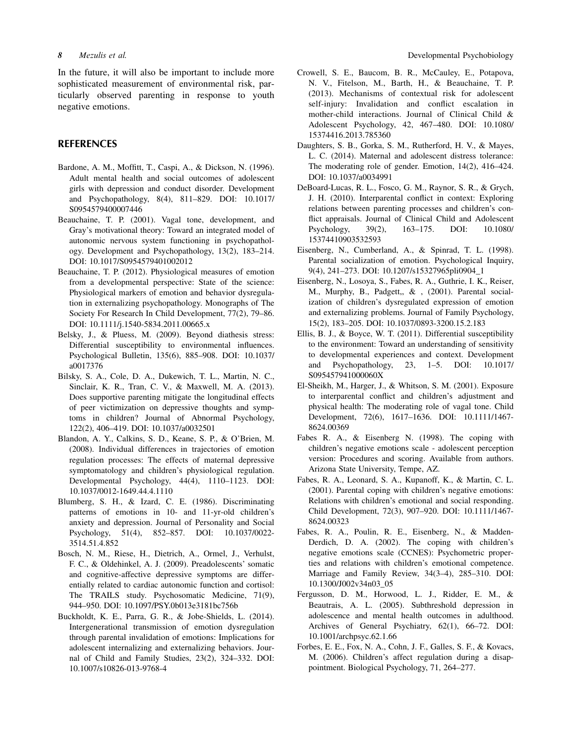In the future, it will also be important to include more sophisticated measurement of environmental risk, particularly observed parenting in response to youth negative emotions.

# **REFERENCES**

- Bardone, A. M., Moffitt, T., Caspi, A., & Dickson, N. (1996). Adult mental health and social outcomes of adolescent girls with depression and conduct disorder. Development and Psychopathology, 8(4), 811–829. DOI: 10.1017/ S0954579400007446
- Beauchaine, T. P. (2001). Vagal tone, development, and Gray's motivational theory: Toward an integrated model of autonomic nervous system functioning in psychopathology. Development and Psychopathology, 13(2), 183–214. DOI: 10.1017/S0954579401002012
- Beauchaine, T. P. (2012). Physiological measures of emotion from a developmental perspective: State of the science: Physiological markers of emotion and behavior dysregulation in externalizing psychopathology. Monographs of The Society For Research In Child Development, 77(2), 79–86. DOI: 10.1111/j.1540-5834.2011.00665.x
- Belsky, J., & Pluess, M. (2009). Beyond diathesis stress: Differential susceptibility to environmental influences. Psychological Bulletin, 135(6), 885–908. DOI: 10.1037/ a0017376
- Bilsky, S. A., Cole, D. A., Dukewich, T. L., Martin, N. C., Sinclair, K. R., Tran, C. V., & Maxwell, M. A. (2013). Does supportive parenting mitigate the longitudinal effects of peer victimization on depressive thoughts and symptoms in children? Journal of Abnormal Psychology, 122(2), 406–419. DOI: 10.1037/a0032501
- Blandon, A. Y., Calkins, S. D., Keane, S. P., & O'Brien, M. (2008). Individual differences in trajectories of emotion regulation processes: The effects of maternal depressive symptomatology and children's physiological regulation. Developmental Psychology, 44(4), 1110–1123. DOI: 10.1037/0012-1649.44.4.1110
- Blumberg, S. H., & Izard, C. E. (1986). Discriminating patterns of emotions in 10- and 11-yr-old children's anxiety and depression. Journal of Personality and Social Psychology, 51(4), 852–857. DOI: 10.1037/0022- 3514.51.4.852
- Bosch, N. M., Riese, H., Dietrich, A., Ormel, J., Verhulst, F. C., & Oldehinkel, A. J. (2009). Preadolescents' somatic and cognitive-affective depressive symptoms are differentially related to cardiac autonomic function and cortisol: The TRAILS study. Psychosomatic Medicine, 71(9), 944–950. DOI: 10.1097/PSY.0b013e3181bc756b
- Buckholdt, K. E., Parra, G. R., & Jobe-Shields, L. (2014). Intergenerational transmission of emotion dysregulation through parental invalidation of emotions: Implications for adolescent internalizing and externalizing behaviors. Journal of Child and Family Studies, 23(2), 324–332. DOI: 10.1007/s10826-013-9768-4
- Crowell, S. E., Baucom, B. R., McCauley, E., Potapova, N. V., Fitelson, M., Barth, H., & Beauchaine, T. P. (2013). Mechanisms of contextual risk for adolescent self-injury: Invalidation and conflict escalation in mother-child interactions. Journal of Clinical Child & Adolescent Psychology, 42, 467–480. DOI: 10.1080/ 15374416.2013.785360
- Daughters, S. B., Gorka, S. M., Rutherford, H. V., & Mayes, L. C. (2014). Maternal and adolescent distress tolerance: The moderating role of gender. Emotion, 14(2), 416–424. DOI: 10.1037/a0034991
- DeBoard-Lucas, R. L., Fosco, G. M., Raynor, S. R., & Grych, J. H. (2010). Interparental conflict in context: Exploring relations between parenting processes and children's conflict appraisals. Journal of Clinical Child and Adolescent Psychology, 39(2), 163–175. DOI: 10.1080/ 15374410903532593
- Eisenberg, N., Cumberland, A., & Spinrad, T. L. (1998). Parental socialization of emotion. Psychological Inquiry, 9(4), 241–273. DOI: 10.1207/s15327965pli0904\_1
- Eisenberg, N., Losoya, S., Fabes, R. A., Guthrie, I. K., Reiser, M., Murphy, B., Padgett,, & , (2001). Parental socialization of children's dysregulated expression of emotion and externalizing problems. Journal of Family Psychology, 15(2), 183–205. DOI: 10.1037/0893-3200.15.2.183
- Ellis, B. J., & Boyce, W. T. (2011). Differential susceptibility to the environment: Toward an understanding of sensitivity to developmental experiences and context. Development and Psychopathology, 23, 1–5. DOI: 10.1017/ S095457941000060X
- El-Sheikh, M., Harger, J., & Whitson, S. M. (2001). Exposure to interparental conflict and children's adjustment and physical health: The moderating role of vagal tone. Child Development, 72(6), 1617–1636. DOI: 10.1111/1467- 8624.00369
- Fabes R. A., & Eisenberg N. (1998). The coping with children's negative emotions scale - adolescent perception version: Procedures and scoring. Available from authors. Arizona State University, Tempe, AZ.
- Fabes, R. A., Leonard, S. A., Kupanoff, K., & Martin, C. L. (2001). Parental coping with children's negative emotions: Relations with children's emotional and social responding. Child Development, 72(3), 907–920. DOI: 10.1111/1467- 8624.00323
- Fabes, R. A., Poulin, R. E., Eisenberg, N., & Madden-Derdich, D. A. (2002). The coping with children's negative emotions scale (CCNES): Psychometric properties and relations with children's emotional competence. Marriage and Family Review, 34(3–4), 285–310. DOI: 10.1300/J002v34n03\_05
- Fergusson, D. M., Horwood, L. J., Ridder, E. M., & Beautrais, A. L. (2005). Subthreshold depression in adolescence and mental health outcomes in adulthood. Archives of General Psychiatry, 62(1), 66–72. DOI: 10.1001/archpsyc.62.1.66
- Forbes, E. E., Fox, N. A., Cohn, J. F., Galles, S. F., & Kovacs, M. (2006). Children's affect regulation during a disappointment. Biological Psychology, 71, 264–277.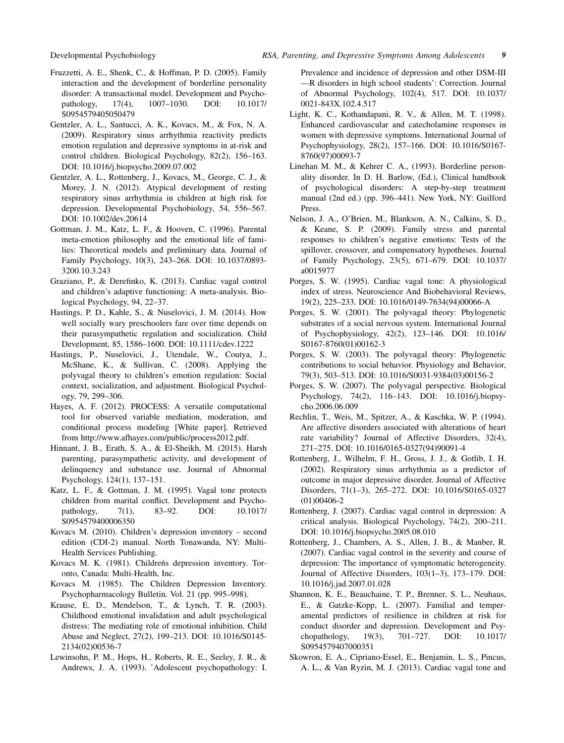- Fruzzetti, A. E., Shenk, C., & Hoffman, P. D. (2005). Family interaction and the development of borderline personality disorder: A transactional model. Development and Psychopathology, 17(4), 1007–1030. DOI: 10.1017/ S0954579405050479
- Gentzler, A. L., Santucci, A. K., Kovacs, M., & Fox, N. A. (2009). Respiratory sinus arrhythmia reactivity predicts emotion regulation and depressive symptoms in at-risk and control children. Biological Psychology, 82(2), 156–163. DOI: 10.1016/j.biopsycho.2009.07.002
- Gentzler, A. L., Rottenberg, J., Kovacs, M., George, C. J., & Morey, J. N. (2012). Atypical development of resting respiratory sinus arrhythmia in children at high risk for depression. Developmental Psychobiology, 54, 556–567. DOI: 10.1002/dev.20614
- Gottman, J. M., Katz, L. F., & Hooven, C. (1996). Parental meta-emotion philosophy and the emotional life of families: Theoretical models and preliminary data. Journal of Family Psychology, 10(3), 243–268. DOI: 10.1037/0893- 3200.10.3.243
- Graziano, P., & Derefinko, K. (2013). Cardiac vagal control and children's adaptive functioning: A meta-analysis. Biological Psychology, 94, 22–37.
- Hastings, P. D., Kahle, S., & Nuselovici, J. M. (2014). How well socially wary preschoolers fare over time depends on their parasympathetic regulation and socialization. Child Development, 85, 1586–1600. DOI: 10.1111/cdev.1222
- Hastings, P., Nuselovici, J., Utendale, W., Coutya, J., McShane, K., & Sullivan, C. (2008). Applying the polyvagal theory to children's emotion regulation: Social context, socialization, and adjustment. Biological Psychology, 79, 299–306.
- Hayes, A. F. (2012). PROCESS: A versatile computational tool for observed variable mediation, moderation, and conditional process modeling [White paper]. Retrieved from http://www.afhayes.com/public/process2012.pdf.
- Hinnant, J. B., Erath, S. A., & El-Sheikh, M. (2015). Harsh parenting, parasympathetic activity, and development of delinquency and substance use. Journal of Abnormal Psychology, 124(1), 137–151.
- Katz, L. F., & Gottman, J. M. (1995). Vagal tone protects children from marital conflict. Development and Psychopathology, 7(1), 83–92. DOI: 10.1017/ S0954579400006350
- Kovacs M. (2010). Children's depression inventory second edition (CDI-2) manual. North Tonawanda, NY: Multi-Health Services Publishing.
- Kovacs M. K. (1981). Childrens depression inventory. Toronto, Canada: Multi-Health, Inc.
- Kovacs M. (1985). The Children Depression Inventory. Psychopharmacology Bulletin. Vol. 21 (pp. 995–998).
- Krause, E. D., Mendelson, T., & Lynch, T. R. (2003). Childhood emotional invalidation and adult psychological distress: The mediating role of emotional inhibition. Child Abuse and Neglect, 27(2), 199–213. DOI: 10.1016/S0145- 2134(02)00536-7
- Lewinsohn, P. M., Hops, H., Roberts, R. E., Seeley, J. R., & Andrews, J. A. (1993). 'Adolescent psychopathology: I.

Prevalence and incidence of depression and other DSM-III —R disorders in high school students': Correction. Journal of Abnormal Psychology, 102(4), 517. DOI: 10.1037/ 0021-843X.102.4.517

- Light, K. C., Kothandapani, R. V., & Allen, M. T. (1998). Enhanced cardiovascular and catecholamine responses in women with depressive symptoms. International Journal of Psychophysiology, 28(2), 157–166. DOI: 10.1016/S0167- 8760(97)00093-7
- Linehan M. M., & Kehrer C. A., (1993). Borderline personality disorder. In D. H. Barlow, (Ed.), Clinical handbook of psychological disorders: A step-by-step treatment manual (2nd ed.) (pp. 396–441). New York, NY: Guilford Press.
- Nelson, J. A., O'Brien, M., Blankson, A. N., Calkins, S. D., & Keane, S. P. (2009). Family stress and parental responses to children's negative emotions: Tests of the spillover, crossover, and compensatory hypotheses. Journal of Family Psychology, 23(5), 671–679. DOI: 10.1037/ a0015977
- Porges, S. W. (1995). Cardiac vagal tone: A physiological index of stress. Neuroscience And Biobehavioral Reviews, 19(2), 225–233. DOI: 10.1016/0149-7634(94)00066-A
- Porges, S. W. (2001). The polyvagal theory: Phylogenetic substrates of a social nervous system. International Journal of Psychophysiology, 42(2), 123–146. DOI: 10.1016/ S0167-8760(01)00162-3
- Porges, S. W. (2003). The polyvagal theory: Phylogenetic contributions to social behavior. Physiology and Behavior, 79(3), 503–513. DOI: 10.1016/S0031-9384(03)00156-2
- Porges, S. W. (2007). The polyvagal perspective. Biological Psychology, 74(2), 116–143. DOI: 10.1016/j.biopsycho.2006.06.009
- Rechlin, T., Weis, M., Spitzer, A., & Kaschka, W. P. (1994). Are affective disorders associated with alterations of heart rate variability? Journal of Affective Disorders, 32(4), 271–275. DOI: 10.1016/0165-0327(94)90091-4
- Rottenberg, J., Wilhelm, F. H., Gross, J. J., & Gotlib, I. H. (2002). Respiratory sinus arrhythmia as a predictor of outcome in major depressive disorder. Journal of Affective Disorders, 71(1–3), 265–272. DOI: 10.1016/S0165-0327 (01)00406-2
- Rottenberg, J. (2007). Cardiac vagal control in depression: A critical analysis. Biological Psychology, 74(2), 200–211. DOI: 10.1016/j.biopsycho.2005.08.010
- Rottenberg, J., Chambers, A. S., Allen, J. B., & Manber, R. (2007). Cardiac vagal control in the severity and course of depression: The importance of symptomatic heterogeneity. Journal of Affective Disorders, 103(1–3), 173–179. DOI: 10.1016/j.jad.2007.01.028
- Shannon, K. E., Beauchaine, T. P., Brenner, S. L., Neuhaus, E., & Gatzke-Kopp, L. (2007). Familial and temperamental predictors of resilience in children at risk for conduct disorder and depression. Development and Psychopathology, 19(3), 701–727. DOI: 10.1017/ S0954579407000351
- Skowron, E. A., Cipriano-Essel, E., Benjamin, L. S., Pincus, A. L., & Van Ryzin, M. J. (2013). Cardiac vagal tone and